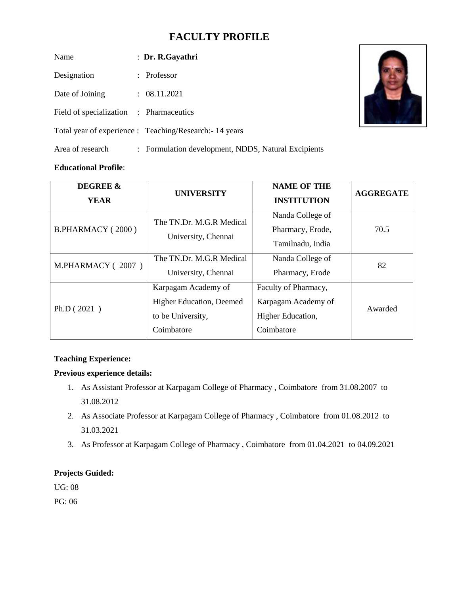# **FACULTY PROFILE**

| Name                                    | : Dr. R.Gayathri                                       |
|-----------------------------------------|--------------------------------------------------------|
| Designation                             | : Professor                                            |
| Date of Joining                         | $\therefore$ 08.11.2021                                |
| Field of specialization : Pharmaceutics |                                                        |
|                                         | Total year of experience : Teaching/Research: 14 years |
| Area of research                        | : Formulation development, NDDS, Natural Excipients    |

## **Educational Profile**:

| <b>DEGREE &amp;</b> | <b>UNIVERSITY</b>               | <b>NAME OF THE</b>   | <b>AGGREGATE</b> |  |
|---------------------|---------------------------------|----------------------|------------------|--|
| <b>YEAR</b>         |                                 | <b>INSTITUTION</b>   |                  |  |
| B.PHARMACY (2000)   | The TN.Dr. M.G.R Medical        | Nanda College of     | 70.5             |  |
|                     | University, Chennai             | Pharmacy, Erode,     |                  |  |
|                     |                                 | Tamilnadu, India     |                  |  |
| M.PHARMACY (2007)   | The TN.Dr. M.G.R Medical        | Nanda College of     | 82               |  |
|                     | University, Chennai             | Pharmacy, Erode      |                  |  |
| Ph.D $(2021)$       | Karpagam Academy of             | Faculty of Pharmacy, | Awarded          |  |
|                     | <b>Higher Education, Deemed</b> | Karpagam Academy of  |                  |  |
|                     | to be University,               | Higher Education,    |                  |  |
|                     | Coimbatore                      | Coimbatore           |                  |  |

### **Teaching Experience:**

### **Previous experience details:**

- 1. As Assistant Professor at Karpagam College of Pharmacy , Coimbatore from 31.08.2007 to 31.08.2012
- 2. As Associate Professor at Karpagam College of Pharmacy , Coimbatore from 01.08.2012 to 31.03.2021
- 3. As Professor at Karpagam College of Pharmacy , Coimbatore from 01.04.2021 to 04.09.2021

### **Projects Guided:**

UG: 08

PG: 06

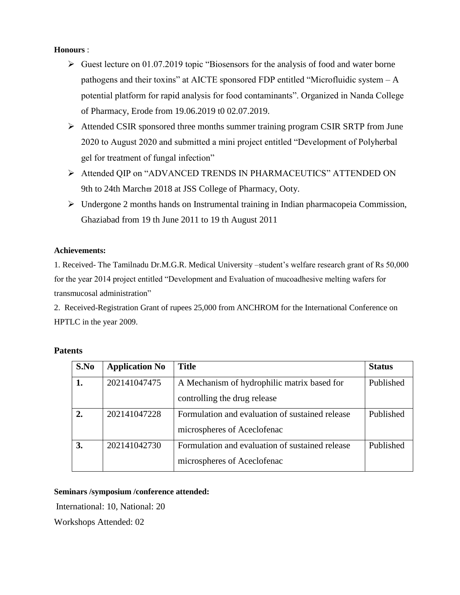### **Honours** :

- $\triangleright$  Guest lecture on 01.07.2019 topic "Biosensors for the analysis of food and water borne pathogens and their toxins" at AICTE sponsored FDP entitled "Microfluidic system – A potential platform for rapid analysis for food contaminants". Organized in Nanda College of Pharmacy, Erode from 19.06.2019 t0 02.07.2019.
- ➢ Attended CSIR sponsored three months summer training program CSIR SRTP from June 2020 to August 2020 and submitted a mini project entitled "Development of Polyherbal gel for treatment of fungal infection"
- ➢ Attended QIP on "ADVANCED TRENDS IN PHARMACEUTICS" ATTENDED ON 9th to 24th March $\varpi$  2018 at JSS College of Pharmacy, Ooty.
- $\triangleright$  Undergone 2 months hands on Instrumental training in Indian pharmacopeia Commission, Ghaziabad from 19 th June 2011 to 19 th August 2011

#### **Achievements:**

1. Received- The Tamilnadu Dr.M.G.R. Medical University –student's welfare research grant of Rs 50,000 for the year 2014 project entitled "Development and Evaluation of mucoadhesive melting wafers for transmucosal administration"

2. Received-Registration Grant of rupees 25,000 from ANCHROM for the International Conference on HPTLC in the year 2009.

| S.No | <b>Application No</b> | <b>Title</b>                                                                   | <b>Status</b> |
|------|-----------------------|--------------------------------------------------------------------------------|---------------|
| 1.   | 202141047475          | A Mechanism of hydrophilic matrix based for<br>controlling the drug release    | Published     |
| 2.   | 202141047228          | Formulation and evaluation of sustained release<br>microspheres of Aceclofenac | Published     |
| 3.   | 202141042730          | Formulation and evaluation of sustained release<br>microspheres of Aceclofenac | Published     |

#### **Patents**

#### **Seminars /symposium /conference attended:**

International: 10, National: 20

Workshops Attended: 02